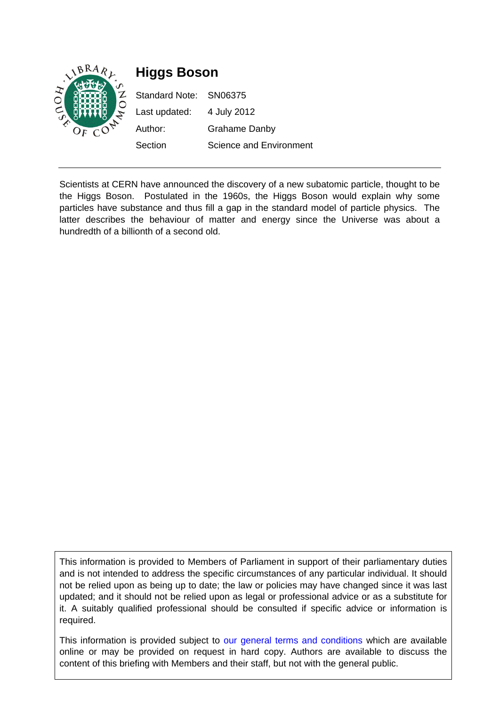

Scientists at CERN have announced the discovery of a new subatomic particle, thought to be the Higgs Boson. Postulated in the 1960s, the Higgs Boson would explain why some particles have substance and thus fill a gap in the standard model of particle physics. The latter describes the behaviour of matter and energy since the Universe was about a hundredth of a billionth of a second old.

This information is provided to Members of Parliament in support of their parliamentary duties and is not intended to address the specific circumstances of any particular individual. It should not be relied upon as being up to date; the law or policies may have changed since it was last updated; and it should not be relied upon as legal or professional advice or as a substitute for it. A suitably qualified professional should be consulted if specific advice or information is required.

This information is provided subject to [our general terms and conditions](http://www.parliament.uk/site-information/copyright/) which are available online or may be provided on request in hard copy. Authors are available to discuss the content of this briefing with Members and their staff, but not with the general public.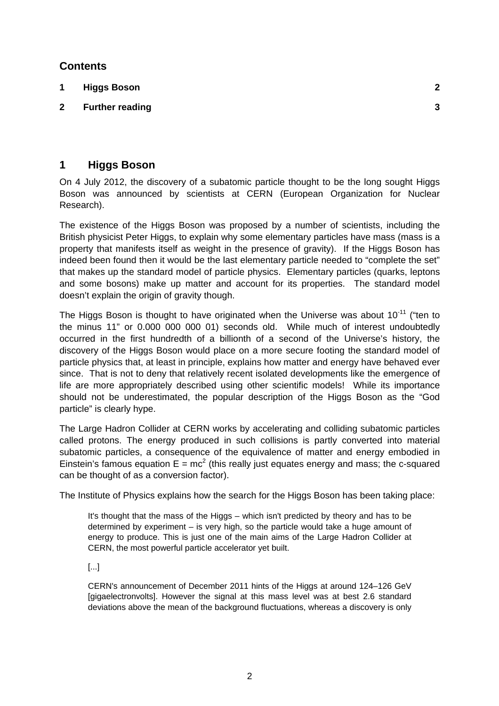## <span id="page-1-0"></span>**Contents**

**1 [Higgs Boson 2](#page-1-0)**

**2 [Further reading 3](#page-2-0)** 

## **1 Higgs Boson**

On 4 July 2012, the discovery of a subatomic particle thought to be the long sought Higgs Boson was announced by scientists at CERN (European Organization for Nuclear Research).

The existence of the Higgs Boson was proposed by a number of scientists, including the British physicist Peter Higgs, to explain why some elementary particles have mass (mass is a property that manifests itself as weight in the presence of gravity). If the Higgs Boson has indeed been found then it would be the last elementary particle needed to "complete the set" that makes up the standard model of particle physics. Elementary particles (quarks, leptons and some bosons) make up matter and account for its properties. The standard model doesn't explain the origin of gravity though.

The Higgs Boson is thought to have originated when the Universe was about  $10^{-11}$  ("ten to the minus 11" or 0.000 000 000 01) seconds old. While much of interest undoubtedly occurred in the first hundredth of a billionth of a second of the Universe's history, the discovery of the Higgs Boson would place on a more secure footing the standard model of particle physics that, at least in principle, explains how matter and energy have behaved ever since. That is not to deny that relatively recent isolated developments like the emergence of life are more appropriately described using other scientific models! While its importance should not be underestimated, the popular description of the Higgs Boson as the "God particle" is clearly hype.

The Large Hadron Collider at CERN works by accelerating and colliding subatomic particles called protons. The energy produced in such collisions is partly converted into material subatomic particles, a consequence of the equivalence of matter and energy embodied in Einstein's famous equation  $E = mc^2$  (this really just equates energy and mass; the c-squared can be thought of as a conversion factor).

The Institute of Physics explains how the search for the Higgs Boson has been taking place:

It's thought that the mass of the Higgs – which isn't predicted by theory and has to be determined by experiment – is very high, so the particle would take a huge amount of energy to produce. This is just one of the main aims of the Large Hadron Collider at CERN, the most powerful particle accelerator yet built.

[...]

CERN's announcement of December 2011 hints of the Higgs at around 124–126 GeV [gigaelectronvolts]. However the signal at this mass level was at best 2.6 standard deviations above the mean of the background fluctuations, whereas a discovery is only